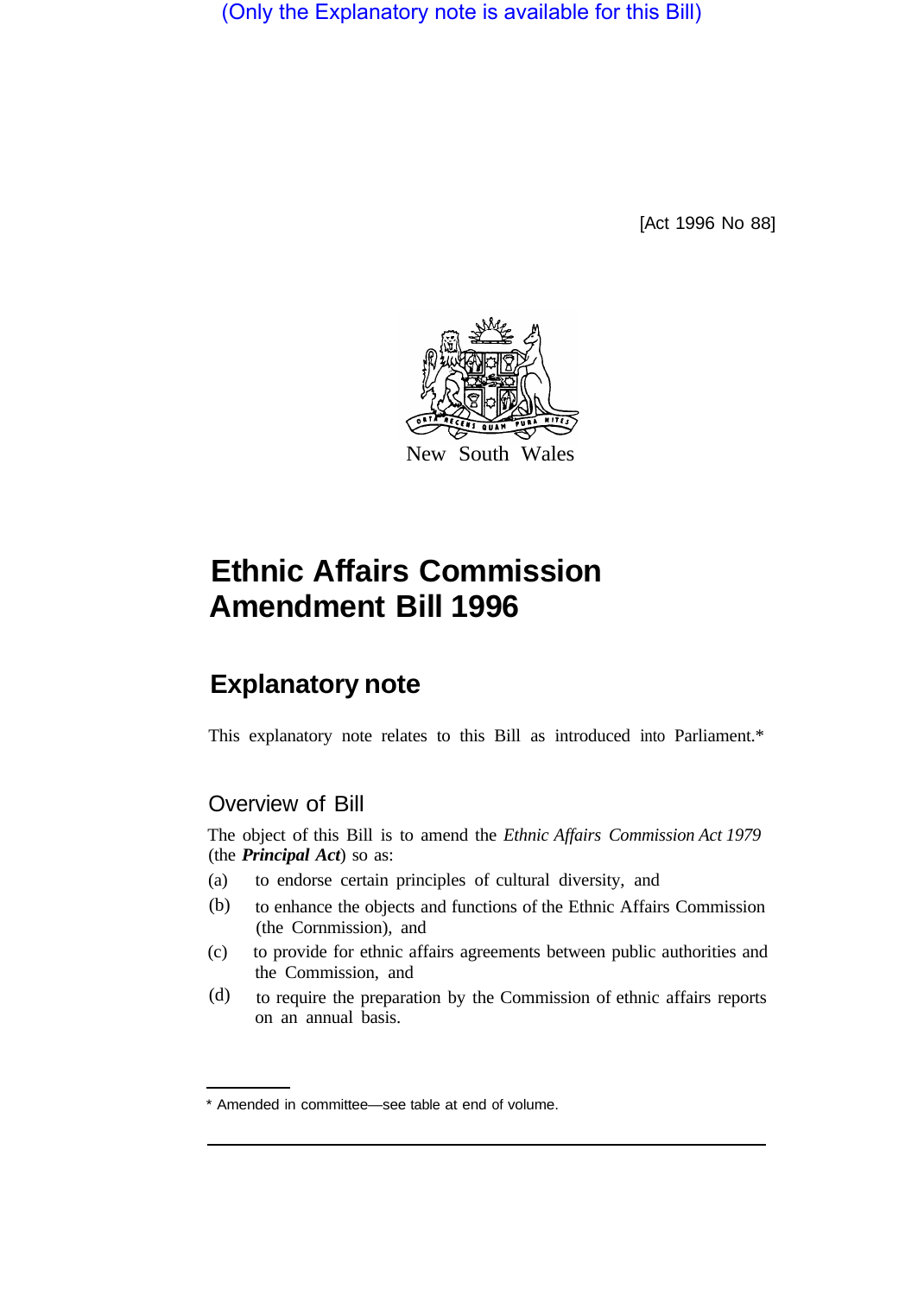(Only the Explanatory note is available for this Bill)

[Act 1996 No 88]



# **Ethnic Affairs Commission Amendment Bill 1996**

# **Explanatory note**

This explanatory note relates to this Bill as introduced into Parliament.\*

## Overview of Bill

The object of this Bill is to amend the *Ethnic Affairs Commission Act 1979*  (the *Principal Act*) so as:

- (a) to endorse certain principles of cultural diversity, and
- to enhance the objects and functions of the Ethnic Affairs Commission (the Cornmission), and (b)
- (c) to provide for ethnic affairs agreements between public authorities and the Commission, and
- to require the preparation by the Commission of ethnic affairs reports on an annual basis. (d)

<sup>\*</sup> Amended in committee—see table at end of volume.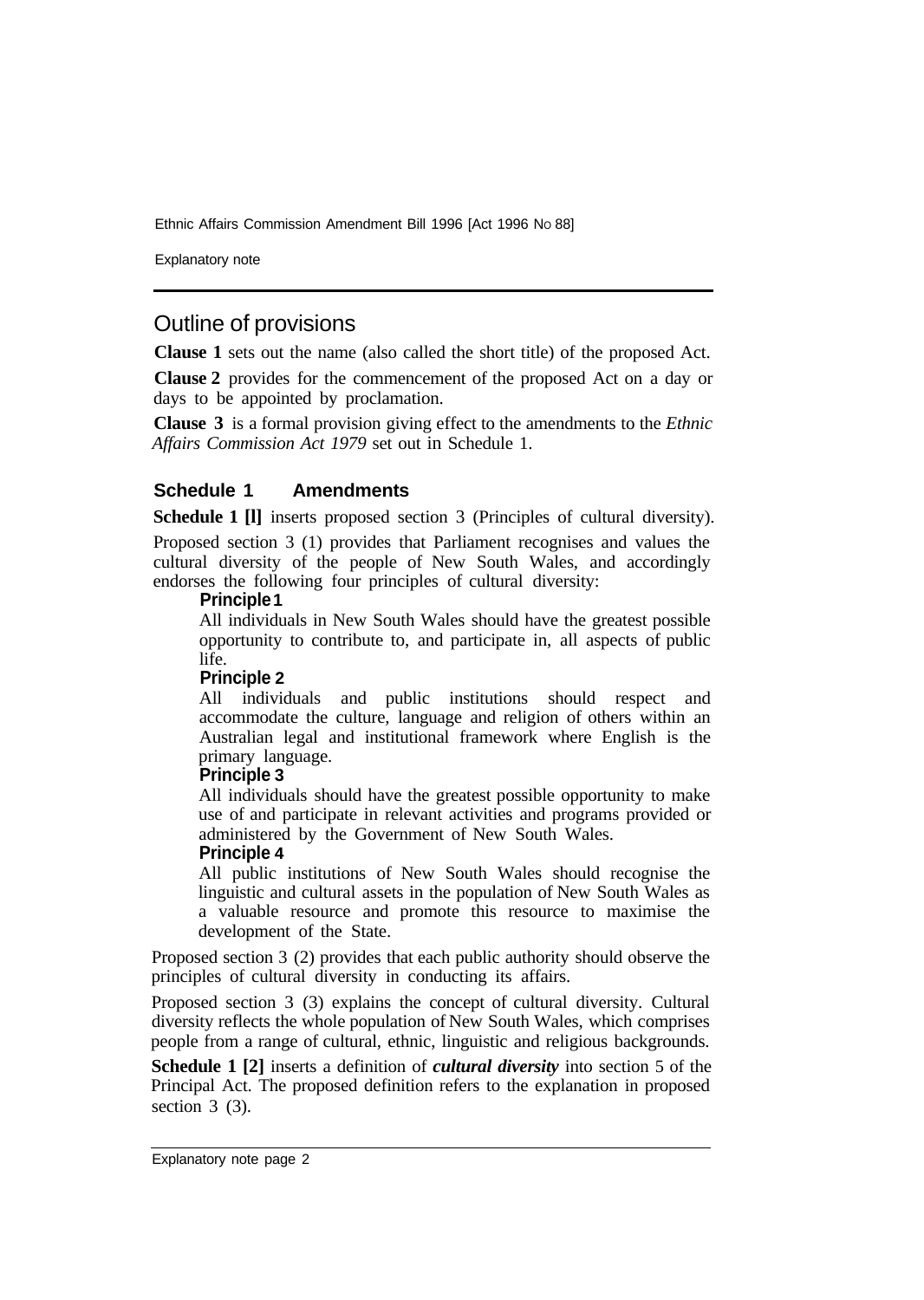Ethnic Affairs Commission Amendment Bill 1996 [Act 1996 NO 88]

Explanatory note

## Outline of provisions

**Clause 1** sets out the name (also called the short title) of the proposed Act.

**Clause 2** provides for the commencement of the proposed Act on a day or days to be appointed by proclamation.

**Clause 3** is a formal provision giving effect to the amendments to the *Ethnic Affairs Commission Act 1979* set out in Schedule 1.

#### **Schedule 1 Amendments**

**Schedule 1 [I]** inserts proposed section 3 (Principles of cultural diversity).

Proposed section 3 (1) provides that Parliament recognises and values the cultural diversity of the people of New South Wales, and accordingly endorses the following four principles of cultural diversity:

#### **Principle 1**

All individuals in New South Wales should have the greatest possible opportunity to contribute to, and participate in, all aspects of public life.

#### **Principle 2**

All individuals and public institutions should respect and accommodate the culture, language and religion of others within an Australian legal and institutional framework where English is the primary language.

#### **Principle 3**

All individuals should have the greatest possible opportunity to make use of and participate in relevant activities and programs provided or administered by the Government of New South Wales.

#### **Principle 4**

All public institutions of New South Wales should recognise the linguistic and cultural assets in the population of New South Wales as a valuable resource and promote this resource to maximise the development of the State.

Proposed section 3 (2) provides that each public authority should observe the principles of cultural diversity in conducting its affairs.

Proposed section 3 (3) explains the concept of cultural diversity. Cultural diversity reflects the whole population of New South Wales, which comprises people from a range of cultural, ethnic, linguistic and religious backgrounds.

**Schedule 1 [2]** inserts a definition of *cultural diversity* into section 5 of the Principal Act. The proposed definition refers to the explanation in proposed section 3 (3).